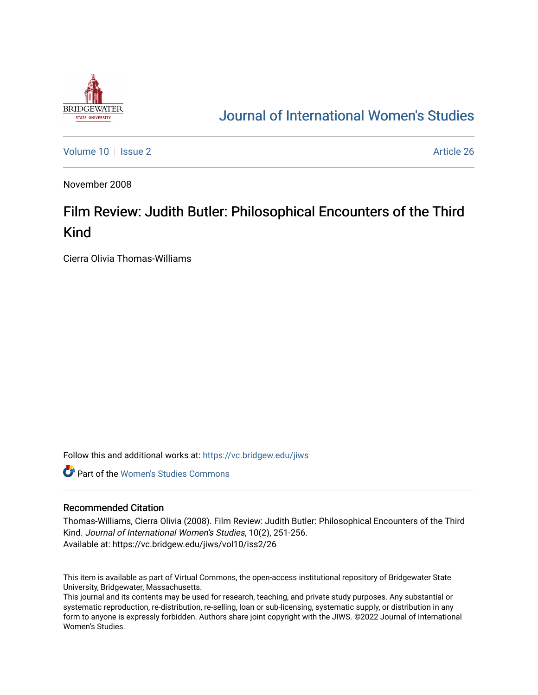

# [Journal of International Women's Studies](https://vc.bridgew.edu/jiws)

[Volume 10](https://vc.bridgew.edu/jiws/vol10) | [Issue 2](https://vc.bridgew.edu/jiws/vol10/iss2) Article 26

November 2008

# Film Review: Judith Butler: Philosophical Encounters of the Third Kind

Cierra Olivia Thomas-Williams

Follow this and additional works at: [https://vc.bridgew.edu/jiws](https://vc.bridgew.edu/jiws?utm_source=vc.bridgew.edu%2Fjiws%2Fvol10%2Fiss2%2F26&utm_medium=PDF&utm_campaign=PDFCoverPages)

**C** Part of the Women's Studies Commons

#### Recommended Citation

Thomas-Williams, Cierra Olivia (2008). Film Review: Judith Butler: Philosophical Encounters of the Third Kind. Journal of International Women's Studies, 10(2), 251-256. Available at: https://vc.bridgew.edu/jiws/vol10/iss2/26

This item is available as part of Virtual Commons, the open-access institutional repository of Bridgewater State University, Bridgewater, Massachusetts.

This journal and its contents may be used for research, teaching, and private study purposes. Any substantial or systematic reproduction, re-distribution, re-selling, loan or sub-licensing, systematic supply, or distribution in any form to anyone is expressly forbidden. Authors share joint copyright with the JIWS. ©2022 Journal of International Women's Studies.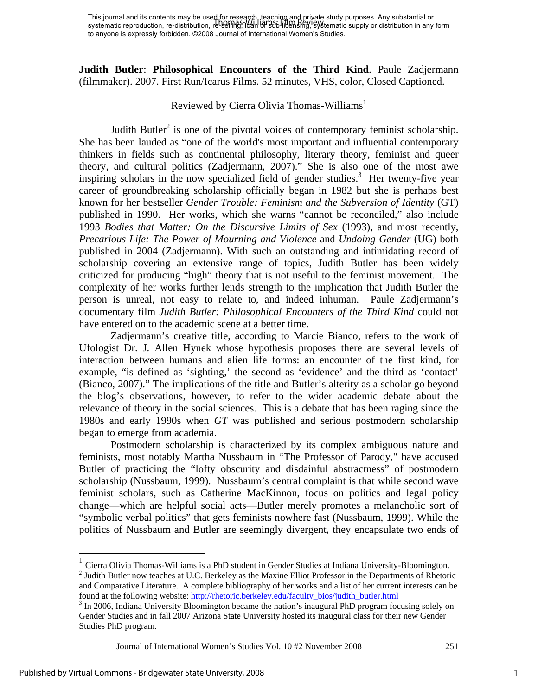**Judith Butler**: **Philosophical Encounters of the Third Kind**. Paule Zadjermann (filmmaker). 2007. First Run/Icarus Films. 52 minutes, VHS, color, Closed Captioned.

### Reviewed by Cierra Olivia Thomas-Williams<sup>1</sup>

Judith Butler<sup>2</sup> is one of the pivotal voices of contemporary feminist scholarship. She has been lauded as "one of the world's most important and influential contemporary thinkers in fields such as continental philosophy, literary theory, feminist and queer theory, and cultural politics (Zadjermann, 2007)." She is also one of the most awe inspiring scholars in the now specialized field of gender studies.<sup>3</sup> Her twenty-five year career of groundbreaking scholarship officially began in 1982 but she is perhaps best known for her bestseller *Gender Trouble: Feminism and the Subversion of Identity* (GT) published in 1990. Her works, which she warns "cannot be reconciled," also include 1993 *Bodies that Matter: On the Discursive Limits of Sex* (1993), and most recently, *Precarious Life: The Power of Mourning and Violence* and *Undoing Gender* (UG) both published in 2004 (Zadjermann). With such an outstanding and intimidating record of scholarship covering an extensive range of topics, Judith Butler has been widely criticized for producing "high" theory that is not useful to the feminist movement. The complexity of her works further lends strength to the implication that Judith Butler the person is unreal, not easy to relate to, and indeed inhuman. Paule Zadjermann's documentary film *Judith Butler: Philosophical Encounters of the Third Kind* could not have entered on to the academic scene at a better time.

Zadjermann's creative title, according to Marcie Bianco, refers to the work of Ufologist Dr. J. Allen Hynek whose hypothesis proposes there are several levels of interaction between humans and alien life forms: an encounter of the first kind, for example, "is defined as 'sighting,' the second as 'evidence' and the third as 'contact' (Bianco, 2007)." The implications of the title and Butler's alterity as a scholar go beyond the blog's observations, however, to refer to the wider academic debate about the relevance of theory in the social sciences. This is a debate that has been raging since the 1980s and early 1990s when *GT* was published and serious postmodern scholarship began to emerge from academia.

Postmodern scholarship is characterized by its complex ambiguous nature and feminists, most notably Martha Nussbaum in "The Professor of Parody," have accused Butler of practicing the "lofty obscurity and disdainful abstractness" of postmodern scholarship (Nussbaum, 1999). Nussbaum's central complaint is that while second wave feminist scholars, such as Catherine MacKinnon, focus on politics and legal policy change—which are helpful social acts—Butler merely promotes a melancholic sort of "symbolic verbal politics" that gets feminists nowhere fast (Nussbaum, 1999). While the politics of Nussbaum and Butler are seemingly divergent, they encapsulate two ends of

Journal of International Women's Studies Vol. 10 #2 November 2008 251

 $\overline{a}$ 

 $1$  Cierra Olivia Thomas-Williams is a PhD student in Gender Studies at Indiana University-Bloomington.

 $2$  Judith Butler now teaches at U.C. Berkeley as the Maxine Elliot Professor in the Departments of Rhetoric and Comparative Literature. A complete bibliography of her works and a list of her current interests can be found at the following website: http://rhetoric.berkeley.edu/faculty\_bios/judith\_butler.html

<sup>&</sup>lt;sup>3</sup> In 2006, Indiana University Bloomington became the nation's inaugural PhD program focusing solely on Gender Studies and in fall 2007 Arizona State University hosted its inaugural class for their new Gender Studies PhD program.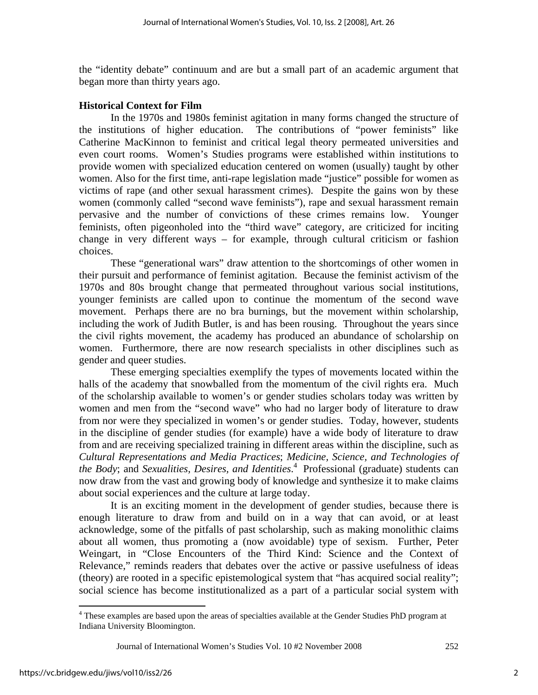the "identity debate" continuum and are but a small part of an academic argument that began more than thirty years ago.

## **Historical Context for Film**

In the 1970s and 1980s feminist agitation in many forms changed the structure of the institutions of higher education. The contributions of "power feminists" like Catherine MacKinnon to feminist and critical legal theory permeated universities and even court rooms. Women's Studies programs were established within institutions to provide women with specialized education centered on women (usually) taught by other women. Also for the first time, anti-rape legislation made "justice" possible for women as victims of rape (and other sexual harassment crimes). Despite the gains won by these women (commonly called "second wave feminists"), rape and sexual harassment remain pervasive and the number of convictions of these crimes remains low. Younger feminists, often pigeonholed into the "third wave" category, are criticized for inciting change in very different ways – for example, through cultural criticism or fashion choices.

These "generational wars" draw attention to the shortcomings of other women in their pursuit and performance of feminist agitation. Because the feminist activism of the 1970s and 80s brought change that permeated throughout various social institutions, younger feminists are called upon to continue the momentum of the second wave movement. Perhaps there are no bra burnings, but the movement within scholarship, including the work of Judith Butler, is and has been rousing. Throughout the years since the civil rights movement, the academy has produced an abundance of scholarship on women. Furthermore, there are now research specialists in other disciplines such as gender and queer studies.

These emerging specialties exemplify the types of movements located within the halls of the academy that snowballed from the momentum of the civil rights era. Much of the scholarship available to women's or gender studies scholars today was written by women and men from the "second wave" who had no larger body of literature to draw from nor were they specialized in women's or gender studies. Today, however, students in the discipline of gender studies (for example) have a wide body of literature to draw from and are receiving specialized training in different areas within the discipline, such as *Cultural Representations and Media Practices*; *Medicine, Science, and Technologies of the Body*; and *Sexualities, Desires, and Identities*. 4 Professional (graduate) students can now draw from the vast and growing body of knowledge and synthesize it to make claims about social experiences and the culture at large today.

It is an exciting moment in the development of gender studies, because there is enough literature to draw from and build on in a way that can avoid, or at least acknowledge, some of the pitfalls of past scholarship, such as making monolithic claims about all women, thus promoting a (now avoidable) type of sexism. Further, Peter Weingart, in "Close Encounters of the Third Kind: Science and the Context of Relevance," reminds readers that debates over the active or passive usefulness of ideas (theory) are rooted in a specific epistemological system that "has acquired social reality"; social science has become institutionalized as a part of a particular social system with

 $\overline{a}$ <sup>4</sup> These examples are based upon the areas of specialties available at the Gender Studies PhD program at Indiana University Bloomington.

Journal of International Women's Studies Vol. 10 #2 November 2008 252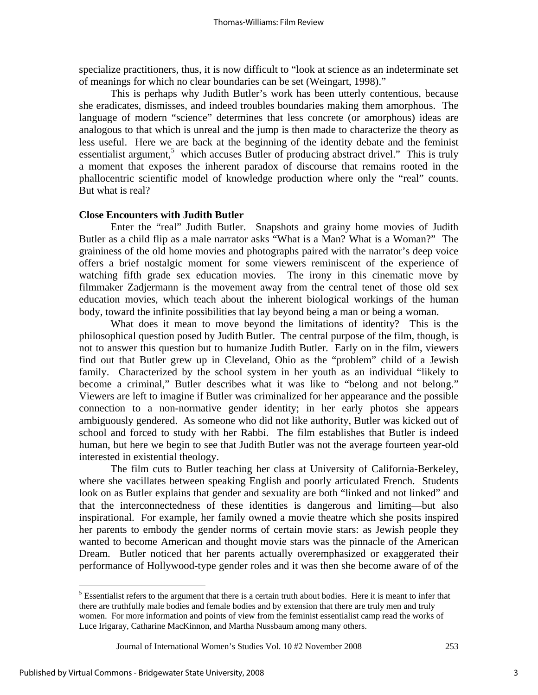specialize practitioners, thus, it is now difficult to "look at science as an indeterminate set of meanings for which no clear boundaries can be set (Weingart, 1998)."

This is perhaps why Judith Butler's work has been utterly contentious, because she eradicates, dismisses, and indeed troubles boundaries making them amorphous. The language of modern "science" determines that less concrete (or amorphous) ideas are analogous to that which is unreal and the jump is then made to characterize the theory as less useful. Here we are back at the beginning of the identity debate and the feminist essentialist argument,<sup>5</sup> which accuses Butler of producing abstract drivel." This is truly a moment that exposes the inherent paradox of discourse that remains rooted in the phallocentric scientific model of knowledge production where only the "real" counts. But what is real?

### **Close Encounters with Judith Butler**

Enter the "real" Judith Butler. Snapshots and grainy home movies of Judith Butler as a child flip as a male narrator asks "What is a Man? What is a Woman?" The graininess of the old home movies and photographs paired with the narrator's deep voice offers a brief nostalgic moment for some viewers reminiscent of the experience of watching fifth grade sex education movies. The irony in this cinematic move by filmmaker Zadjermann is the movement away from the central tenet of those old sex education movies, which teach about the inherent biological workings of the human body, toward the infinite possibilities that lay beyond being a man or being a woman.

What does it mean to move beyond the limitations of identity? This is the philosophical question posed by Judith Butler. The central purpose of the film, though, is not to answer this question but to humanize Judith Butler. Early on in the film, viewers find out that Butler grew up in Cleveland, Ohio as the "problem" child of a Jewish family. Characterized by the school system in her youth as an individual "likely to become a criminal," Butler describes what it was like to "belong and not belong." Viewers are left to imagine if Butler was criminalized for her appearance and the possible connection to a non-normative gender identity; in her early photos she appears ambiguously gendered. As someone who did not like authority, Butler was kicked out of school and forced to study with her Rabbi. The film establishes that Butler is indeed human, but here we begin to see that Judith Butler was not the average fourteen year-old interested in existential theology.

The film cuts to Butler teaching her class at University of California-Berkeley, where she vacillates between speaking English and poorly articulated French. Students look on as Butler explains that gender and sexuality are both "linked and not linked" and that the interconnectedness of these identities is dangerous and limiting—but also inspirational. For example, her family owned a movie theatre which she posits inspired her parents to embody the gender norms of certain movie stars: as Jewish people they wanted to become American and thought movie stars was the pinnacle of the American Dream. Butler noticed that her parents actually overemphasized or exaggerated their performance of Hollywood-type gender roles and it was then she become aware of of the

 $\overline{a}$ 

 $<sup>5</sup>$  Essentialist refers to the argument that there is a certain truth about bodies. Here it is meant to infer that</sup> there are truthfully male bodies and female bodies and by extension that there are truly men and truly women. For more information and points of view from the feminist essentialist camp read the works of Luce Irigaray, Catharine MacKinnon, and Martha Nussbaum among many others.

Journal of International Women's Studies Vol. 10 #2 November 2008 253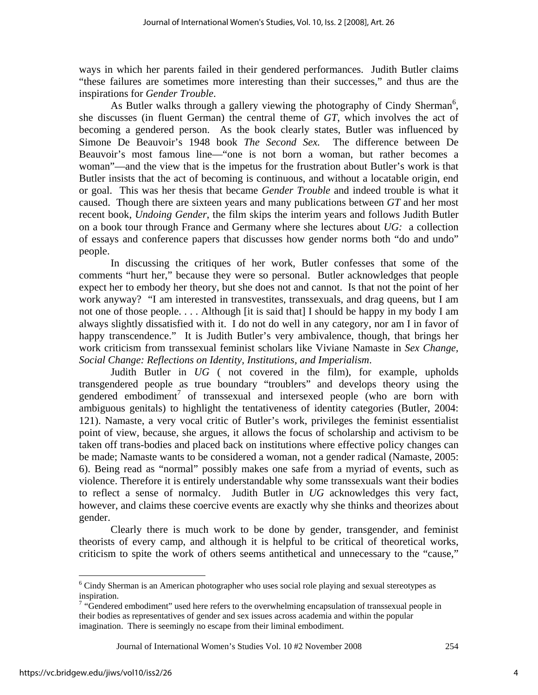ways in which her parents failed in their gendered performances. Judith Butler claims "these failures are sometimes more interesting than their successes," and thus are the inspirations for *Gender Trouble*.

As Butler walks through a gallery viewing the photography of Cindy Sherman<sup>6</sup>, she discusses (in fluent German) the central theme of *GT*, which involves the act of becoming a gendered person. As the book clearly states, Butler was influenced by Simone De Beauvoir's 1948 book *The Second Sex.* The difference between De Beauvoir's most famous line—"one is not born a woman, but rather becomes a woman"—and the view that is the impetus for the frustration about Butler's work is that Butler insists that the act of becoming is continuous, and without a locatable origin, end or goal. This was her thesis that became *Gender Trouble* and indeed trouble is what it caused. Though there are sixteen years and many publications between *GT* and her most recent book, *Undoing Gender*, the film skips the interim years and follows Judith Butler on a book tour through France and Germany where she lectures about *UG:* a collection of essays and conference papers that discusses how gender norms both "do and undo" people.

In discussing the critiques of her work, Butler confesses that some of the comments "hurt her," because they were so personal. Butler acknowledges that people expect her to embody her theory, but she does not and cannot. Is that not the point of her work anyway? "I am interested in transvestites, transsexuals, and drag queens, but I am not one of those people. . . . Although [it is said that] I should be happy in my body I am always slightly dissatisfied with it. I do not do well in any category, nor am I in favor of happy transcendence." It is Judith Butler's very ambivalence, though, that brings her work criticism from transsexual feminist scholars like Viviane Namaste in *Sex Change, Social Change: Reflections on Identity, Institutions, and Imperialism*.

Judith Butler in *UG* ( not covered in the film), for example, upholds transgendered people as true boundary "troublers" and develops theory using the gendered embodiment<sup>7</sup> of transsexual and intersexed people (who are born with ambiguous genitals) to highlight the tentativeness of identity categories (Butler, 2004: 121). Namaste, a very vocal critic of Butler's work, privileges the feminist essentialist point of view, because, she argues, it allows the focus of scholarship and activism to be taken off trans-bodies and placed back on institutions where effective policy changes can be made; Namaste wants to be considered a woman, not a gender radical (Namaste, 2005: 6). Being read as "normal" possibly makes one safe from a myriad of events, such as violence. Therefore it is entirely understandable why some transsexuals want their bodies to reflect a sense of normalcy. Judith Butler in *UG* acknowledges this very fact, however, and claims these coercive events are exactly why she thinks and theorizes about gender.

Clearly there is much work to be done by gender, transgender, and feminist theorists of every camp, and although it is helpful to be critical of theoretical works, criticism to spite the work of others seems antithetical and unnecessary to the "cause,"

Journal of International Women's Studies Vol. 10 #2 November 2008 254

<sup>&</sup>lt;sup>6</sup> Cindy Sherman is an American photographer who uses social role playing and sexual stereotypes as <sup>6</sup> inspiration.

 $\alpha$ <sup>4</sup> "Gendered embodiment" used here refers to the overwhelming encapsulation of transsexual people in their bodies as representatives of gender and sex issues across academia and within the popular imagination. There is seemingly no escape from their liminal embodiment.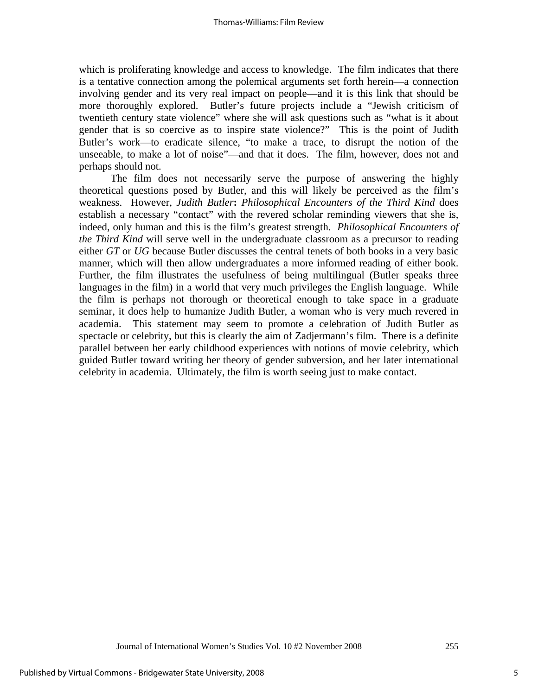which is proliferating knowledge and access to knowledge. The film indicates that there is a tentative connection among the polemical arguments set forth herein—a connection involving gender and its very real impact on people—and it is this link that should be more thoroughly explored. Butler's future projects include a "Jewish criticism of twentieth century state violence" where she will ask questions such as "what is it about gender that is so coercive as to inspire state violence?" This is the point of Judith Butler's work—to eradicate silence, "to make a trace, to disrupt the notion of the unseeable, to make a lot of noise"—and that it does. The film, however, does not and perhaps should not.

The film does not necessarily serve the purpose of answering the highly theoretical questions posed by Butler, and this will likely be perceived as the film's weakness. However, *Judith Butler***:** *Philosophical Encounters of the Third Kind* does establish a necessary "contact" with the revered scholar reminding viewers that she is, indeed, only human and this is the film's greatest strength. *Philosophical Encounters of the Third Kind* will serve well in the undergraduate classroom as a precursor to reading either *GT* or *UG* because Butler discusses the central tenets of both books in a very basic manner, which will then allow undergraduates a more informed reading of either book. Further, the film illustrates the usefulness of being multilingual (Butler speaks three languages in the film) in a world that very much privileges the English language. While the film is perhaps not thorough or theoretical enough to take space in a graduate seminar, it does help to humanize Judith Butler, a woman who is very much revered in academia. This statement may seem to promote a celebration of Judith Butler as spectacle or celebrity, but this is clearly the aim of Zadjermann's film. There is a definite parallel between her early childhood experiences with notions of movie celebrity, which guided Butler toward writing her theory of gender subversion, and her later international celebrity in academia. Ultimately, the film is worth seeing just to make contact.